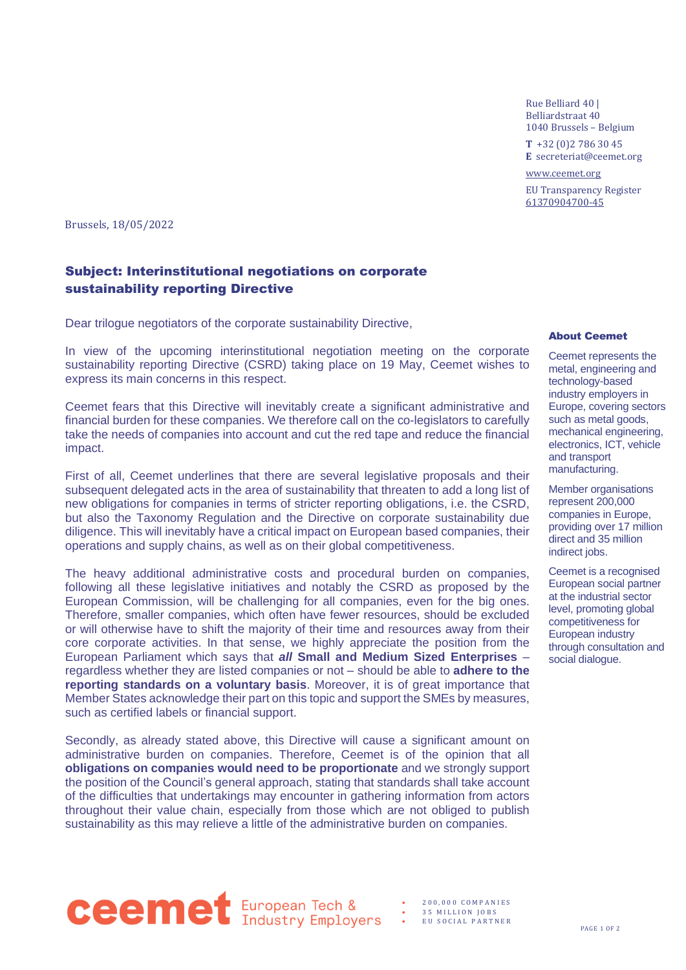Rue Belliard 40 | Belliardstraat 40 1040 Brussels – Belgium

**T** +32 (0)2 786 30 45 **E** secreteriat@ceemet.org

[www.ceemet.org](http://www.ceemet.org/) EU Transparency Register [61370904700-45](http://ec.europa.eu/transparencyregister/public/consultation/displaylobbyist.do?id=61370904700-45&isListLobbyistView=true)

Brussels, 18/05/2022

## Subject: Interinstitutional negotiations on corporate sustainability reporting Directive

Dear trilogue negotiators of the corporate sustainability Directive,

In view of the upcoming interinstitutional negotiation meeting on the corporate sustainability reporting Directive (CSRD) taking place on 19 May, Ceemet wishes to express its main concerns in this respect.

Ceemet fears that this Directive will inevitably create a significant administrative and financial burden for these companies. We therefore call on the co-legislators to carefully take the needs of companies into account and cut the red tape and reduce the financial impact.

First of all, Ceemet underlines that there are several legislative proposals and their subsequent delegated acts in the area of sustainability that threaten to add a long list of new obligations for companies in terms of stricter reporting obligations, i.e. the CSRD, but also the Taxonomy Regulation and the Directive on corporate sustainability due diligence. This will inevitably have a critical impact on European based companies, their operations and supply chains, as well as on their global competitiveness.

The heavy additional administrative costs and procedural burden on companies, following all these legislative initiatives and notably the CSRD as proposed by the European Commission, will be challenging for all companies, even for the big ones. Therefore, smaller companies, which often have fewer resources, should be excluded or will otherwise have to shift the majority of their time and resources away from their core corporate activities. In that sense, we highly appreciate the position from the European Parliament which says that *all* **Small and Medium Sized Enterprises** – regardless whether they are listed companies or not – should be able to **adhere to the reporting standards on a voluntary basis**. Moreover, it is of great importance that Member States acknowledge their part on this topic and support the SMEs by measures, such as certified labels or financial support.

Secondly, as already stated above, this Directive will cause a significant amount on administrative burden on companies. Therefore, Ceemet is of the opinion that all **obligations on companies would need to be proportionate** and we strongly support the position of the Council's general approach, stating that standards shall take account of the difficulties that undertakings may encounter in gathering information from actors throughout their value chain, especially from those which are not obliged to publish sustainability as this may relieve a little of the administrative burden on companies.

## About Ceemet

Ceemet represents the metal, engineering and technology-based industry employers in Europe, covering sectors such as metal goods, mechanical engineering, electronics, ICT, vehicle and transport manufacturing.

Member organisations represent 200,000 companies in Europe, providing over 17 million direct and 35 million indirect jobs.

Ceemet is a recognised European social partner at the industrial sector level, promoting global competitiveness for European industry through consultation and social dialogue.



• 2 0 0 , 0 0 0 C O M P A N I E S 35 MILLION JOBS EU SOCIAL PARTNER